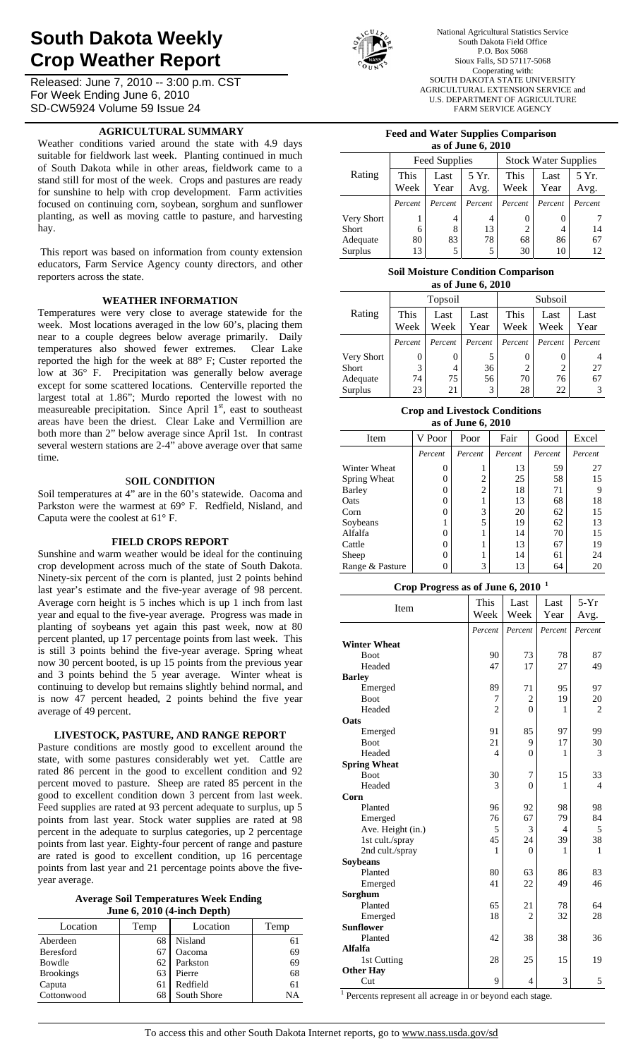# **South Dakota Weekly Crop Weather Report**

Released: June 7, 2010 -- 3:00 p.m. CST For Week Ending June 6, 2010 SD-CW5924 Volume 59 Issue 24

# **AGRICULTURAL SUMMARY**

Weather conditions varied around the state with 4.9 days suitable for fieldwork last week. Planting continued in much of South Dakota while in other areas, fieldwork came to a stand still for most of the week. Crops and pastures are ready for sunshine to help with crop development. Farm activities focused on continuing corn, soybean, sorghum and sunflower planting, as well as moving cattle to pasture, and harvesting hay.

 This report was based on information from county extension educators, Farm Service Agency county directors, and other reporters across the state.

# **WEATHER INFORMATION**

Temperatures were very close to average statewide for the week. Most locations averaged in the low 60's, placing them near to a couple degrees below average primarily. Daily temperatures also showed fewer extremes. Clear Lake reported the high for the week at 88° F; Custer reported the low at 36° F. Precipitation was generally below average except for some scattered locations. Centerville reported the largest total at 1.86"; Murdo reported the lowest with no measureable precipitation. Since April 1<sup>st</sup>, east to southeast areas have been the driest. Clear Lake and Vermillion are both more than 2" below average since April 1st. In contrast several western stations are 2-4" above average over that same time.

#### S**OIL CONDITION**

Soil temperatures at 4" are in the 60's statewide. Oacoma and Parkston were the warmest at 69° F. Redfield, Nisland, and Caputa were the coolest at 61° F.

#### **FIELD CROPS REPORT**

Sunshine and warm weather would be ideal for the continuing crop development across much of the state of South Dakota. Ninety-six percent of the corn is planted, just 2 points behind last year's estimate and the five-year average of 98 percent. Average corn height is 5 inches which is up 1 inch from last year and equal to the five-year average. Progress was made in planting of soybeans yet again this past week, now at 80 percent planted, up 17 percentage points from last week. This is still 3 points behind the five-year average. Spring wheat now 30 percent booted, is up 15 points from the previous year and 3 points behind the  $5$  year average. Winter wheat is continuing to develop but remains slightly behind normal, and is now 47 percent headed, 2 points behind the five year average of 49 percent.

## **LIVESTOCK, PASTURE, AND RANGE REPORT**

Pasture conditions are mostly good to excellent around the state, with some pastures considerably wet yet. Cattle are rated 86 percent in the good to excellent condition and 92 percent moved to pasture. Sheep are rated 85 percent in the good to excellent condition down 3 percent from last week. Feed supplies are rated at 93 percent adequate to surplus, up 5 points from last year. Stock water supplies are rated at 98 percent in the adequate to surplus categories, up 2 percentage points from last year. Eighty-four percent of range and pasture are rated is good to excellent condition, up 16 percentage points from last year and 21 percentage points above the fiveyear average.

| Average Soil Temperatures Week Ending |
|---------------------------------------|
| June $6, 2010$ (4-inch Depth)         |

| Location         | Temp | Location    | Temp |  |  |  |  |  |  |
|------------------|------|-------------|------|--|--|--|--|--|--|
| Aberdeen         | 68   | Nisland     |      |  |  |  |  |  |  |
| Beresford        | 67   | Oacoma      | 69   |  |  |  |  |  |  |
| Bowdle           | 62   | Parkston    | 69   |  |  |  |  |  |  |
| <b>Brookings</b> | 63   | Pierre      | 68   |  |  |  |  |  |  |
| Caputa           | 61   | Redfield    | 61   |  |  |  |  |  |  |
| Cottonwood       | 68   | South Shore | NΑ   |  |  |  |  |  |  |



National Agricultural Statistics Service South Dakota Field Office P.O. Box 5068 Sioux Falls, SD 57117-5068 Cooperating with: SOUTH DAKOTA STATE UNIVERSITY AGRICULTURAL EXTENSION SERVICE and U.S. DEPARTMENT OF AGRICULTURE FARM SERVICE AGENCY

#### **Feed and Water Supplies Comparison as of June 6, 2010**

| as of banc $\sigma$ , $\sigma$ |         |               |         |                             |          |         |  |  |  |  |
|--------------------------------|---------|---------------|---------|-----------------------------|----------|---------|--|--|--|--|
|                                |         | Feed Supplies |         | <b>Stock Water Supplies</b> |          |         |  |  |  |  |
| Rating                         | This    | Last          | 5 Yr.   | This                        | Last     | 5 Yr.   |  |  |  |  |
|                                | Week    | Year          | Avg.    | Week                        | Year     | Avg.    |  |  |  |  |
|                                | Percent | Percent       | Percent | Percent                     | Percent  | Percent |  |  |  |  |
| Very Short                     |         | 4             | 4       |                             | $\theta$ |         |  |  |  |  |
| <b>Short</b>                   | 6       | 8             | 13      |                             |          | 14      |  |  |  |  |
| Adequate                       | 80      | 83            | 78      | 68                          | 86       | 67      |  |  |  |  |
| Surplus                        | 13      | 5             | 5       | 30                          | 10       | 12      |  |  |  |  |
|                                |         |               |         |                             |          |         |  |  |  |  |

# **Soil Moisture Condition Comparison**

| as of June 6, 2010 |                              |         |              |              |              |              |  |  |  |
|--------------------|------------------------------|---------|--------------|--------------|--------------|--------------|--|--|--|
|                    |                              | Topsoil |              | Subsoil      |              |              |  |  |  |
| Rating             | This<br>Last<br>Week<br>Week |         | Last<br>Year | This<br>Week | Last<br>Week | Last<br>Year |  |  |  |
|                    | Percent                      | Percent | Percent      | Percent      | Percent      | Percent      |  |  |  |
| Very Short         | 0                            | 0       | 5            | 0            |              |              |  |  |  |
| <b>Short</b>       | 3                            | 4       | 36           | 2            | 2            | 27           |  |  |  |
| Adequate           | 74                           | 75      | 56           | 70           | 76           | 67           |  |  |  |
| Surplus            | 23                           | 21      | 3            | 28           | 22           | 3            |  |  |  |

#### **Crop and Livestock Conditions as of June 6, 2010**

| Item            | V Poor   | Poor           | Fair    | Good    | Excel   |
|-----------------|----------|----------------|---------|---------|---------|
|                 | Percent  | Percent        | Percent | Percent | Percent |
| Winter Wheat    | O        |                | 13      | 59      | 27      |
| Spring Wheat    | $\theta$ | 2              | 25      | 58      | 15      |
| Barley          | 0        | $\overline{2}$ | 18      | 71      |         |
| Oats            | $\theta$ |                | 13      | 68      | 18      |
| Corn            | $\theta$ | 3              | 20      | 62      | 15      |
| Soybeans        |          | 5              | 19      | 62      | 13      |
| Alfalfa         | $\theta$ |                | 14      | 70      | 15      |
| Cattle          | $\theta$ |                | 13      | 67      | 19      |
| Sheep           | O        |                | 14      | 61      | 24      |
| Range & Pasture | 0        | 3              | 13      | 64      | 20      |
|                 |          |                |         |         |         |

# **Crop Progress as of June 6, 2010 <sup>1</sup>**

| $10.0$ $\mu$ $1.0$ $\mu$ | OOD WO OF GWILD OF<br>This | Last           | Last           | $5-Yr$         |
|--------------------------|----------------------------|----------------|----------------|----------------|
| Item                     | Week                       | Week           | Year           | Avg.           |
|                          | Percent                    | Percent        | Percent        | Percent        |
| <b>Winter Wheat</b>      |                            |                |                |                |
| <b>Boot</b>              | 90                         | 73             | 78             | 87             |
| Headed                   | 47                         | 17             | 27             | 49             |
| <b>Barley</b>            |                            |                |                |                |
| Emerged                  | 89                         | 71             | 95             | 97             |
| <b>Boot</b>              | 7                          | $\overline{2}$ | 19             | 20             |
| Headed                   | $\overline{2}$             | $\theta$       | 1              | 2              |
| Oats                     |                            |                |                |                |
| Emerged                  | 91                         | 85             | 97             | 99             |
| Boot                     | 21                         | 9              | 17             | 30             |
| Headed                   | $\overline{4}$             | $\theta$       | 1              | 3              |
| <b>Spring Wheat</b>      |                            |                |                |                |
| <b>Boot</b>              | 30                         | 7              | 15             | 33             |
| Headed                   | 3                          | $\theta$       | 1              | $\overline{4}$ |
| Corn                     |                            |                |                |                |
| Planted                  | 96                         | 92             | 98             | 98             |
| Emerged                  | 76                         | 67             | 79             | 84             |
| Ave. Height (in.)        | 5                          | 3              | $\overline{4}$ | 5              |
| 1st cult./spray          | 45                         | 24             | 39             | 38             |
| 2nd cult./spray          | 1                          | $\Omega$       | 1              | 1              |
| Soybeans                 |                            |                |                |                |
| Planted                  | 80                         | 63             | 86             | 83             |
| Emerged                  | 41                         | 22             | 49             | 46             |
| Sorghum                  |                            |                |                |                |
| Planted                  | 65                         | 21             | 78             | 64             |
| Emerged                  | 18                         | $\overline{2}$ | 32             | 28             |
| <b>Sunflower</b>         |                            |                |                |                |
| Planted                  | 42                         | 38             | 38             | 36             |
| <b>Alfalfa</b>           |                            |                |                |                |
| 1st Cutting              | 28                         | 25             | 15             | 19             |
| <b>Other Hay</b>         |                            |                |                |                |
| Cut                      | 9                          | 4              | 3              | 5              |

<sup>1</sup> Percents represent all acreage in or beyond each stage.